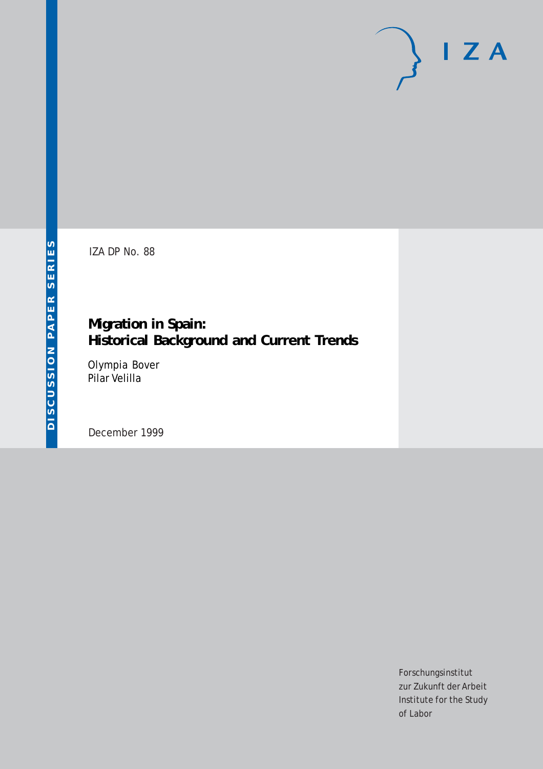IZA DP No. 88

# **Migration in Spain: Historical Background and Current Trends**

Olympia Bover Pilar Velilla

December 1999

Forschungsinstitut zur Zukunft der Arbeit Institute for the Study of Labor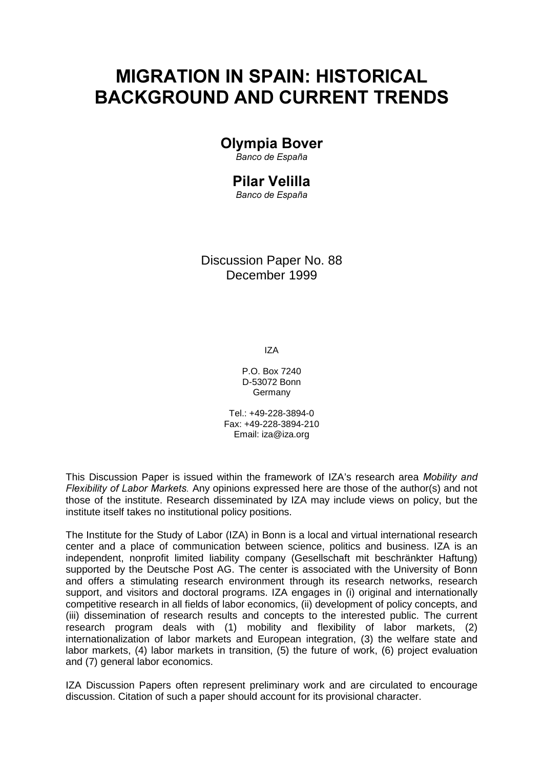# MIGRATION IN SPAIN: HISTORICAL **BACKGROUND AND CURRENT TRENDS**

# Olympia Bover

Banco de España

# **Pilar Velilla**

Banco de España

Discussion Paper No. 88 December 1999

IZA

P.O. Box 7240 D-53072 Bonn Germany

Tel.: +49-228-3894-0 Fax: +49-228-3894-210 Email: iza@iza.org

This Discussion Paper is issued within the framework of IZA's research area Mobility and Flexibility of Labor Markets. Any opinions expressed here are those of the author(s) and not those of the institute. Research disseminated by IZA may include views on policy, but the institute itself takes no institutional policy positions.

The Institute for the Study of Labor (IZA) in Bonn is a local and virtual international research center and a place of communication between science, politics and business. IZA is an independent, nonprofit limited liability company (Gesellschaft mit beschränkter Haftung) supported by the Deutsche Post AG. The center is associated with the University of Bonn and offers a stimulating research environment through its research networks, research support, and visitors and doctoral programs. IZA engages in (i) original and internationally competitive research in all fields of labor economics, (ii) development of policy concepts, and (iii) dissemination of research results and concepts to the interested public. The current research program deals with (1) mobility and flexibility of labor markets, (2) internationalization of labor markets and European integration, (3) the welfare state and labor markets, (4) labor markets in transition, (5) the future of work, (6) project evaluation and (7) general labor economics.

IZA Discussion Papers often represent preliminary work and are circulated to encourage discussion. Citation of such a paper should account for its provisional character.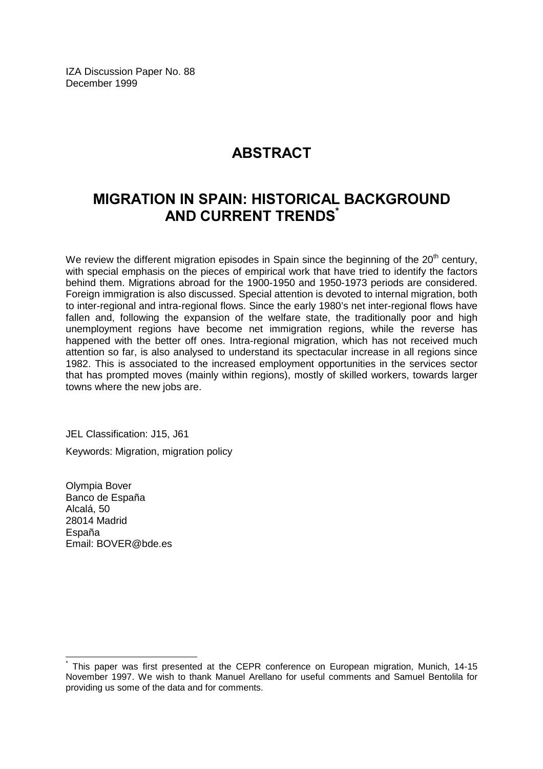IZA Discussion Paper No. 88 December 1999

# **ABSTRACT**

# MIGRATION IN SPAIN: HISTORICAL BACKGROUND **AND CURRENT TRENDS**

We review the different migration episodes in Spain since the beginning of the  $20<sup>th</sup>$  century, with special emphasis on the pieces of empirical work that have tried to identify the factors behind them. Migrations abroad for the 1900-1950 and 1950-1973 periods are considered. Foreign immigration is also discussed. Special attention is devoted to internal migration, both to inter-regional and intra-regional flows. Since the early 1980's net inter-regional flows have fallen and, following the expansion of the welfare state, the traditionally poor and high unemployment regions have become net immigration regions, while the reverse has happened with the better off ones. Intra-regional migration, which has not received much attention so far, is also analysed to understand its spectacular increase in all regions since 1982. This is associated to the increased employment opportunities in the services sector that has prompted moves (mainly within regions), mostly of skilled workers, towards larger towns where the new jobs are.

JEL Classification: J15, J61 Keywords: Migration, migration policy

Olympia Bover Banco de España Alcalá, 50 28014 Madrid España Email: BOVER@bde.es

 $\overline{\phantom{a}}$ 

<sup>\*</sup> This paper was first presented at the CEPR conference on European migration, Munich, 14-15 November 1997. We wish to thank Manuel Arellano for useful comments and Samuel Bentolila for providing us some of the data and for comments.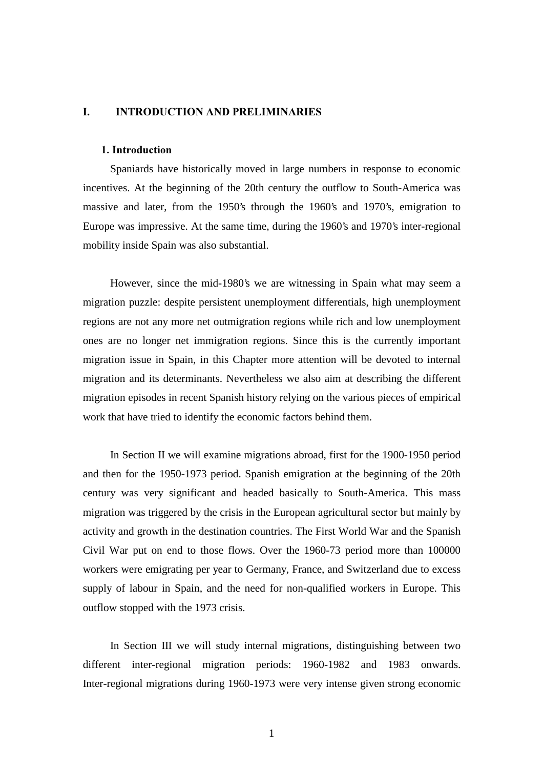#### I. **INTRODUCTION AND PRELIMINARIES**

### 1. Introduction

 Spaniards have historically moved in large numbers in response to economic incentives. At the beginning of the 20th century the outflow to South-America was massive and later, from the 1950's through the 1960's and 1970's, emigration to Europe was impressive. At the same time, during the 1960's and 1970's inter-regional mobility inside Spain was also substantial.

 However, since the mid-1980's we are witnessing in Spain what may seem a migration puzzle: despite persistent unemployment differentials, high unemployment regions are not any more net outmigration regions while rich and low unemployment ones are no longer net immigration regions. Since this is the currently important migration issue in Spain, in this Chapter more attention will be devoted to internal migration and its determinants. Nevertheless we also aim at describing the different migration episodes in recent Spanish history relying on the various pieces of empirical work that have tried to identify the economic factors behind them.

 In Section II we will examine migrations abroad, first for the 1900-1950 period and then for the 1950-1973 period. Spanish emigration at the beginning of the 20th century was very significant and headed basically to South-America. This mass migration was triggered by the crisis in the European agricultural sector but mainly by activity and growth in the destination countries. The First World War and the Spanish Civil War put on end to those flows. Over the 1960-73 period more than 100000 workers were emigrating per year to Germany, France, and Switzerland due to excess supply of labour in Spain, and the need for non-qualified workers in Europe. This outflow stopped with the 1973 crisis.

 In Section III we will study internal migrations, distinguishing between two different inter-regional migration periods: 1960-1982 and 1983 onwards. Inter-regional migrations during 1960-1973 were very intense given strong economic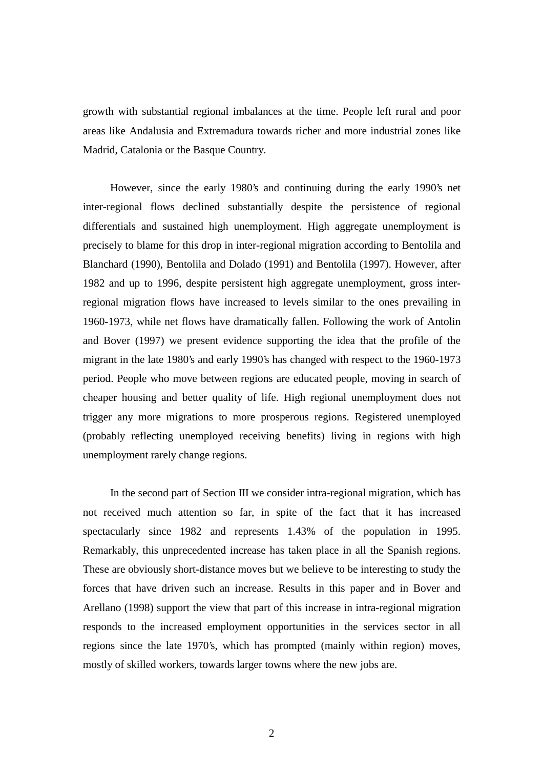growth with substantial regional imbalances at the time. People left rural and poor areas like Andalusia and Extremadura towards richer and more industrial zones like Madrid, Catalonia or the Basque Country.

 However, since the early 1980's and continuing during the early 1990's net inter-regional flows declined substantially despite the persistence of regional differentials and sustained high unemployment. High aggregate unemployment is precisely to blame for this drop in inter-regional migration according to Bentolila and Blanchard (1990), Bentolila and Dolado (1991) and Bentolila (1997). However, after 1982 and up to 1996, despite persistent high aggregate unemployment, gross interregional migration flows have increased to levels similar to the ones prevailing in 1960-1973, while net flows have dramatically fallen. Following the work of Antolin and Bover (1997) we present evidence supporting the idea that the profile of the migrant in the late 1980's and early 1990's has changed with respect to the 1960-1973 period. People who move between regions are educated people, moving in search of cheaper housing and better quality of life. High regional unemployment does not trigger any more migrations to more prosperous regions. Registered unemployed (probably reflecting unemployed receiving benefits) living in regions with high unemployment rarely change regions.

 In the second part of Section III we consider intra-regional migration, which has not received much attention so far, in spite of the fact that it has increased spectacularly since 1982 and represents 1.43% of the population in 1995. Remarkably, this unprecedented increase has taken place in all the Spanish regions. These are obviously short-distance moves but we believe to be interesting to study the forces that have driven such an increase. Results in this paper and in Bover and Arellano (1998) support the view that part of this increase in intra-regional migration responds to the increased employment opportunities in the services sector in all regions since the late 1970's, which has prompted (mainly within region) moves, mostly of skilled workers, towards larger towns where the new jobs are.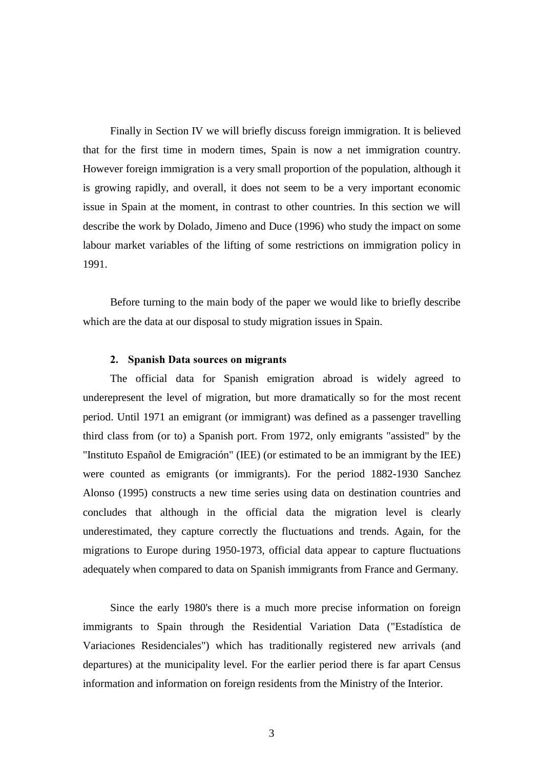Finally in Section IV we will briefly discuss foreign immigration. It is believed that for the first time in modern times, Spain is now a net immigration country. However foreign immigration is a very small proportion of the population, although it is growing rapidly, and overall, it does not seem to be a very important economic issue in Spain at the moment, in contrast to other countries. In this section we will describe the work by Dolado, Jimeno and Duce (1996) who study the impact on some labour market variables of the lifting of some restrictions on immigration policy in 1991.

 Before turning to the main body of the paper we would like to briefly describe which are the data at our disposal to study migration issues in Spain.

### 2. Spanish Data sources on migrants

 The official data for Spanish emigration abroad is widely agreed to underepresent the level of migration, but more dramatically so for the most recent period. Until 1971 an emigrant (or immigrant) was defined as a passenger travelling third class from (or to) a Spanish port. From 1972, only emigrants "assisted" by the "Instituto Español de Emigración" (IEE) (or estimated to be an immigrant by the IEE) were counted as emigrants (or immigrants). For the period 1882-1930 Sanchez Alonso (1995) constructs a new time series using data on destination countries and concludes that although in the official data the migration level is clearly underestimated, they capture correctly the fluctuations and trends. Again, for the migrations to Europe during 1950-1973, official data appear to capture fluctuations adequately when compared to data on Spanish immigrants from France and Germany.

 Since the early 1980's there is a much more precise information on foreign immigrants to Spain through the Residential Variation Data ("Estadística de Variaciones Residenciales") which has traditionally registered new arrivals (and departures) at the municipality level. For the earlier period there is far apart Census information and information on foreign residents from the Ministry of the Interior.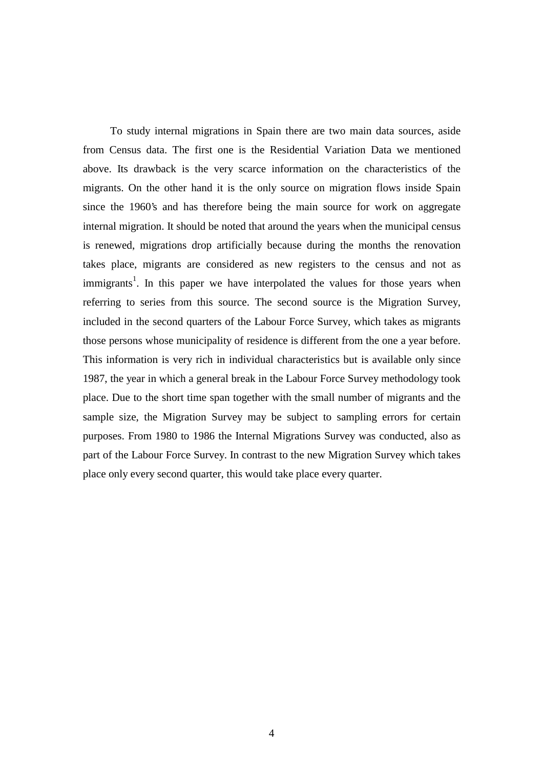To study internal migrations in Spain there are two main data sources, aside from Census data. The first one is the Residential Variation Data we mentioned above. Its drawback is the very scarce information on the characteristics of the migrants. On the other hand it is the only source on migration flows inside Spain since the 1960's and has therefore being the main source for work on aggregate internal migration. It should be noted that around the years when the municipal census is renewed, migrations drop artificially because during the months the renovation takes place, migrants are considered as new registers to the census and not as immigrants<sup>1</sup>. In this paper we have interpolated the values for those years when referring to series from this source. The second source is the Migration Survey, included in the second quarters of the Labour Force Survey, which takes as migrants those persons whose municipality of residence is different from the one a year before. This information is very rich in individual characteristics but is available only since 1987, the year in which a general break in the Labour Force Survey methodology took place. Due to the short time span together with the small number of migrants and the sample size, the Migration Survey may be subject to sampling errors for certain purposes. From 1980 to 1986 the Internal Migrations Survey was conducted, also as part of the Labour Force Survey. In contrast to the new Migration Survey which takes place only every second quarter, this would take place every quarter.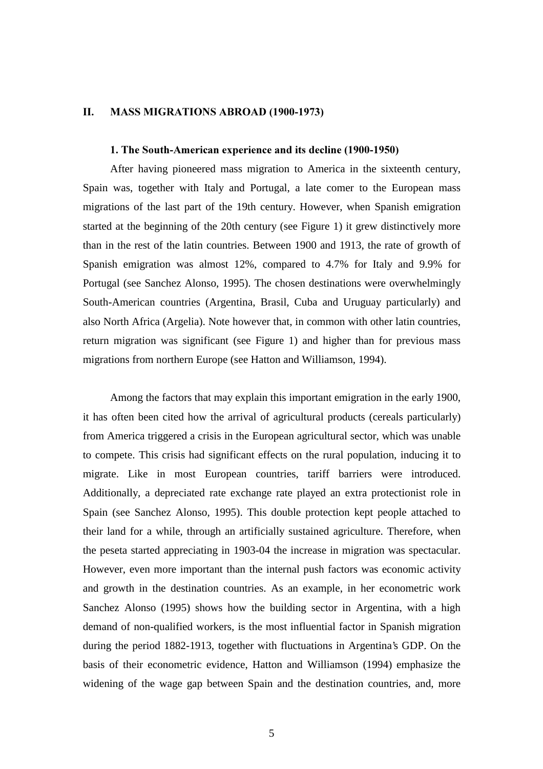#### $II.$ MASS MIGRATIONS ABROAD (1900-1973)

### 1. The South-American experience and its decline (1900-1950)

 After having pioneered mass migration to America in the sixteenth century, Spain was, together with Italy and Portugal, a late comer to the European mass migrations of the last part of the 19th century. However, when Spanish emigration started at the beginning of the 20th century (see Figure 1) it grew distinctively more than in the rest of the latin countries. Between 1900 and 1913, the rate of growth of Spanish emigration was almost 12%, compared to 4.7% for Italy and 9.9% for Portugal (see Sanchez Alonso, 1995). The chosen destinations were overwhelmingly South-American countries (Argentina, Brasil, Cuba and Uruguay particularly) and also North Africa (Argelia). Note however that, in common with other latin countries, return migration was significant (see Figure 1) and higher than for previous mass migrations from northern Europe (see Hatton and Williamson, 1994).

 Among the factors that may explain this important emigration in the early 1900, it has often been cited how the arrival of agricultural products (cereals particularly) from America triggered a crisis in the European agricultural sector, which was unable to compete. This crisis had significant effects on the rural population, inducing it to migrate. Like in most European countries, tariff barriers were introduced. Additionally, a depreciated rate exchange rate played an extra protectionist role in Spain (see Sanchez Alonso, 1995). This double protection kept people attached to their land for a while, through an artificially sustained agriculture. Therefore, when the peseta started appreciating in 1903-04 the increase in migration was spectacular. However, even more important than the internal push factors was economic activity and growth in the destination countries. As an example, in her econometric work Sanchez Alonso (1995) shows how the building sector in Argentina, with a high demand of non-qualified workers, is the most influential factor in Spanish migration during the period 1882-1913, together with fluctuations in Argentina's GDP. On the basis of their econometric evidence, Hatton and Williamson (1994) emphasize the widening of the wage gap between Spain and the destination countries, and, more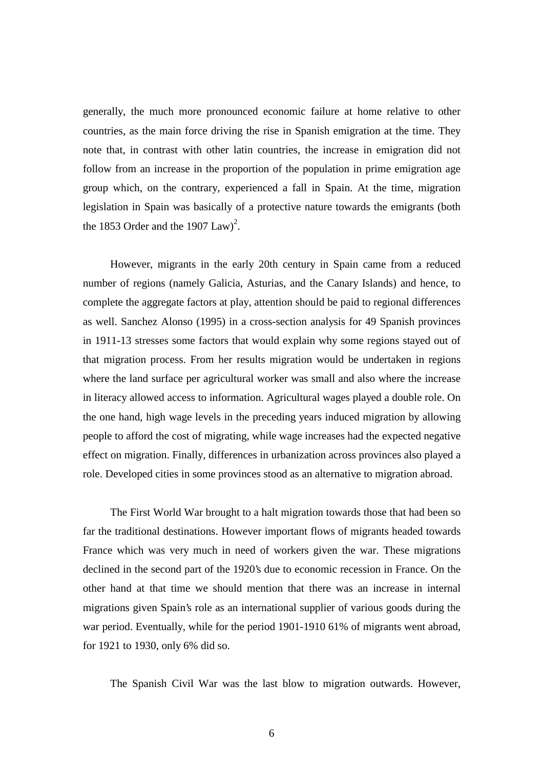generally, the much more pronounced economic failure at home relative to other countries, as the main force driving the rise in Spanish emigration at the time. They note that, in contrast with other latin countries, the increase in emigration did not follow from an increase in the proportion of the population in prime emigration age group which, on the contrary, experienced a fall in Spain. At the time, migration legislation in Spain was basically of a protective nature towards the emigrants (both the 1853 Order and the 1907  $Law)^2$ .

 However, migrants in the early 20th century in Spain came from a reduced number of regions (namely Galicia, Asturias, and the Canary Islands) and hence, to complete the aggregate factors at play, attention should be paid to regional differences as well. Sanchez Alonso (1995) in a cross-section analysis for 49 Spanish provinces in 1911-13 stresses some factors that would explain why some regions stayed out of that migration process. From her results migration would be undertaken in regions where the land surface per agricultural worker was small and also where the increase in literacy allowed access to information. Agricultural wages played a double role. On the one hand, high wage levels in the preceding years induced migration by allowing people to afford the cost of migrating, while wage increases had the expected negative effect on migration. Finally, differences in urbanization across provinces also played a role. Developed cities in some provinces stood as an alternative to migration abroad.

 The First World War brought to a halt migration towards those that had been so far the traditional destinations. However important flows of migrants headed towards France which was very much in need of workers given the war. These migrations declined in the second part of the 1920's due to economic recession in France. On the other hand at that time we should mention that there was an increase in internal migrations given Spain's role as an international supplier of various goods during the war period. Eventually, while for the period 1901-1910 61% of migrants went abroad, for 1921 to 1930, only 6% did so.

The Spanish Civil War was the last blow to migration outwards. However,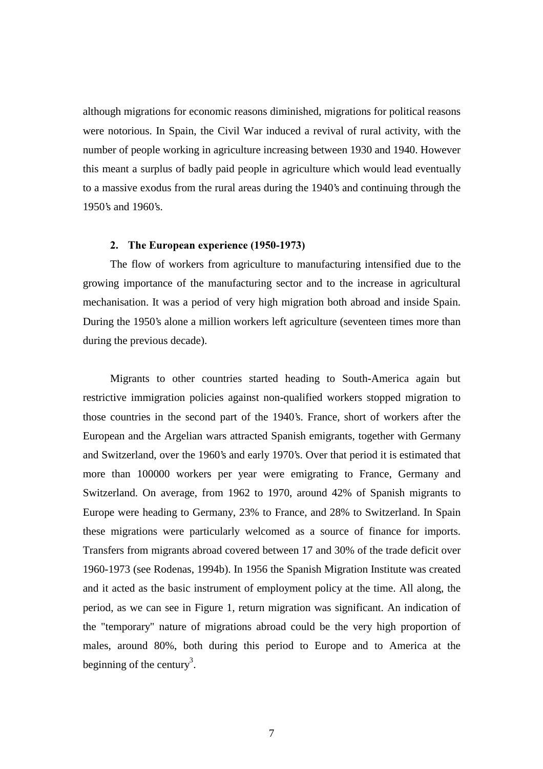although migrations for economic reasons diminished, migrations for political reasons were notorious. In Spain, the Civil War induced a revival of rural activity, with the number of people working in agriculture increasing between 1930 and 1940. However this meant a surplus of badly paid people in agriculture which would lead eventually to a massive exodus from the rural areas during the 1940's and continuing through the 1950's and 1960's.

### 2. The European experience (1950-1973)

 The flow of workers from agriculture to manufacturing intensified due to the growing importance of the manufacturing sector and to the increase in agricultural mechanisation. It was a period of very high migration both abroad and inside Spain. During the 1950's alone a million workers left agriculture (seventeen times more than during the previous decade).

 Migrants to other countries started heading to South-America again but restrictive immigration policies against non-qualified workers stopped migration to those countries in the second part of the 1940's. France, short of workers after the European and the Argelian wars attracted Spanish emigrants, together with Germany and Switzerland, over the 1960's and early 1970's. Over that period it is estimated that more than 100000 workers per year were emigrating to France, Germany and Switzerland. On average, from 1962 to 1970, around 42% of Spanish migrants to Europe were heading to Germany, 23% to France, and 28% to Switzerland. In Spain these migrations were particularly welcomed as a source of finance for imports. Transfers from migrants abroad covered between 17 and 30% of the trade deficit over 1960-1973 (see Rodenas, 1994b). In 1956 the Spanish Migration Institute was created and it acted as the basic instrument of employment policy at the time. All along, the period, as we can see in Figure 1, return migration was significant. An indication of the "temporary" nature of migrations abroad could be the very high proportion of males, around 80%, both during this period to Europe and to America at the beginning of the century<sup>3</sup>.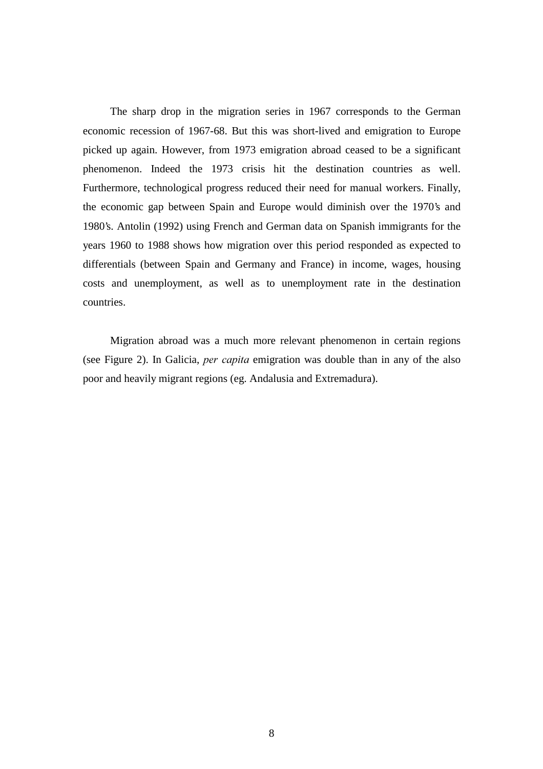The sharp drop in the migration series in 1967 corresponds to the German economic recession of 1967-68. But this was short-lived and emigration to Europe picked up again. However, from 1973 emigration abroad ceased to be a significant phenomenon. Indeed the 1973 crisis hit the destination countries as well. Furthermore, technological progress reduced their need for manual workers. Finally, the economic gap between Spain and Europe would diminish over the 1970's and 1980's. Antolin (1992) using French and German data on Spanish immigrants for the years 1960 to 1988 shows how migration over this period responded as expected to differentials (between Spain and Germany and France) in income, wages, housing costs and unemployment, as well as to unemployment rate in the destination countries.

 Migration abroad was a much more relevant phenomenon in certain regions (see Figure 2). In Galicia, per capita emigration was double than in any of the also poor and heavily migrant regions (eg. Andalusia and Extremadura).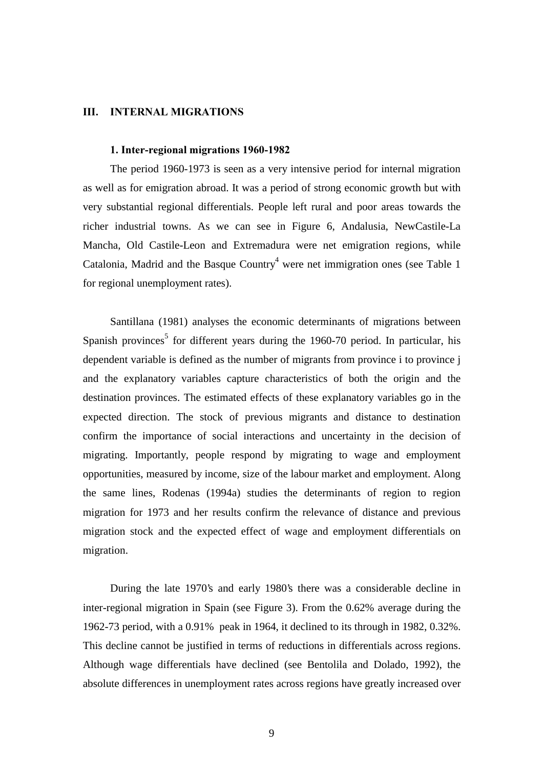#### III. **INTERNAL MIGRATIONS**

### 1. Inter-regional migrations 1960-1982

 The period 1960-1973 is seen as a very intensive period for internal migration as well as for emigration abroad. It was a period of strong economic growth but with very substantial regional differentials. People left rural and poor areas towards the richer industrial towns. As we can see in Figure 6, Andalusia, NewCastile-La Mancha, Old Castile-Leon and Extremadura were net emigration regions, while Catalonia, Madrid and the Basque Country<sup>4</sup> were net immigration ones (see Table 1 for regional unemployment rates).

 Santillana (1981) analyses the economic determinants of migrations between Spanish provinces<sup>5</sup> for different years during the 1960-70 period. In particular, his dependent variable is defined as the number of migrants from province i to province j and the explanatory variables capture characteristics of both the origin and the destination provinces. The estimated effects of these explanatory variables go in the expected direction. The stock of previous migrants and distance to destination confirm the importance of social interactions and uncertainty in the decision of migrating. Importantly, people respond by migrating to wage and employment opportunities, measured by income, size of the labour market and employment. Along the same lines, Rodenas (1994a) studies the determinants of region to region migration for 1973 and her results confirm the relevance of distance and previous migration stock and the expected effect of wage and employment differentials on migration.

 During the late 1970's and early 1980's there was a considerable decline in inter-regional migration in Spain (see Figure 3). From the 0.62% average during the 1962-73 period, with a 0.91% peak in 1964, it declined to its through in 1982, 0.32%. This decline cannot be justified in terms of reductions in differentials across regions. Although wage differentials have declined (see Bentolila and Dolado, 1992), the absolute differences in unemployment rates across regions have greatly increased over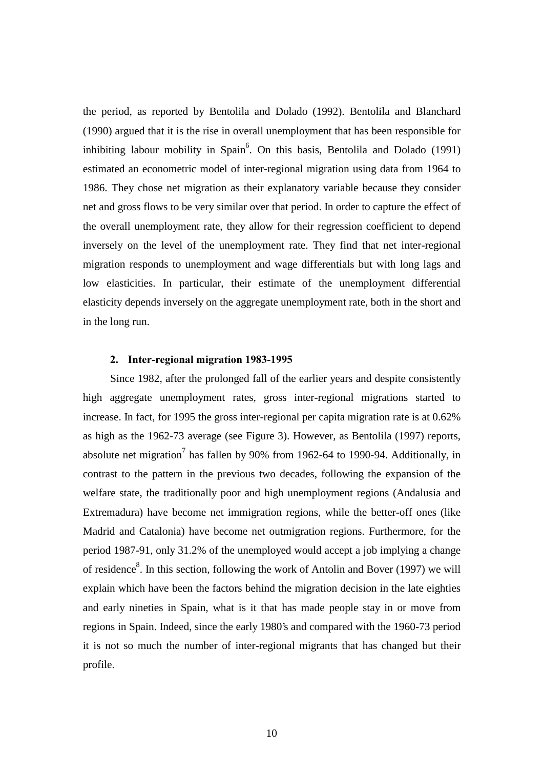the period, as reported by Bentolila and Dolado (1992). Bentolila and Blanchard (1990) argued that it is the rise in overall unemployment that has been responsible for inhibiting labour mobility in Spain<sup>6</sup>. On this basis, Bentolila and Dolado (1991) estimated an econometric model of inter-regional migration using data from 1964 to 1986. They chose net migration as their explanatory variable because they consider net and gross flows to be very similar over that period. In order to capture the effect of the overall unemployment rate, they allow for their regression coefficient to depend inversely on the level of the unemployment rate. They find that net inter-regional migration responds to unemployment and wage differentials but with long lags and low elasticities. In particular, their estimate of the unemployment differential elasticity depends inversely on the aggregate unemployment rate, both in the short and in the long run.

### 2. Inter-regional migration 1983-1995

 Since 1982, after the prolonged fall of the earlier years and despite consistently high aggregate unemployment rates, gross inter-regional migrations started to increase. In fact, for 1995 the gross inter-regional per capita migration rate is at 0.62% as high as the 1962-73 average (see Figure 3). However, as Bentolila (1997) reports, absolute net migration<sup>7</sup> has fallen by 90% from 1962-64 to 1990-94. Additionally, in contrast to the pattern in the previous two decades, following the expansion of the welfare state, the traditionally poor and high unemployment regions (Andalusia and Extremadura) have become net immigration regions, while the better-off ones (like Madrid and Catalonia) have become net outmigration regions. Furthermore, for the period 1987-91, only 31.2% of the unemployed would accept a job implying a change of residence<sup>8</sup>. In this section, following the work of Antolin and Bover (1997) we will explain which have been the factors behind the migration decision in the late eighties and early nineties in Spain, what is it that has made people stay in or move from regions in Spain. Indeed, since the early 1980's and compared with the 1960-73 period it is not so much the number of inter-regional migrants that has changed but their profile.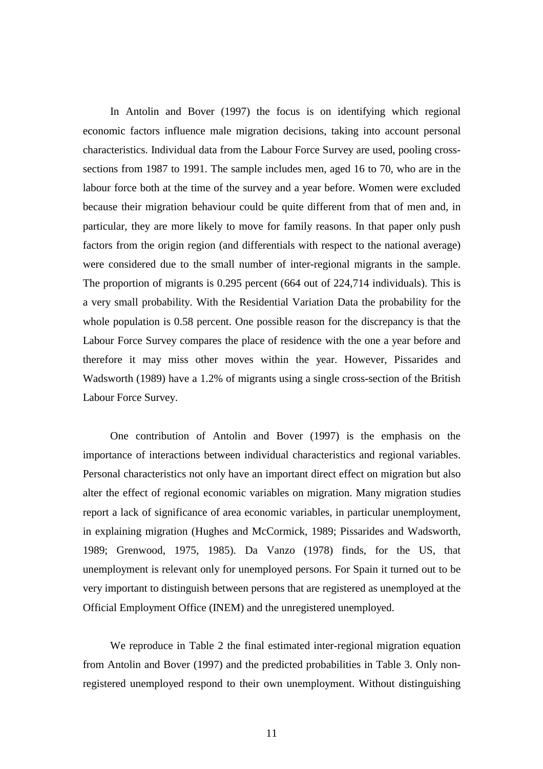In Antolin and Bover (1997) the focus is on identifying which regional economic factors influence male migration decisions, taking into account personal characteristics. Individual data from the Labour Force Survey are used, pooling crosssections from 1987 to 1991. The sample includes men, aged 16 to 70, who are in the labour force both at the time of the survey and a year before. Women were excluded because their migration behaviour could be quite different from that of men and, in particular, they are more likely to move for family reasons. In that paper only push factors from the origin region (and differentials with respect to the national average) were considered due to the small number of inter-regional migrants in the sample. The proportion of migrants is 0.295 percent (664 out of 224,714 individuals). This is a very small probability. With the Residential Variation Data the probability for the whole population is 0.58 percent. One possible reason for the discrepancy is that the Labour Force Survey compares the place of residence with the one a year before and therefore it may miss other moves within the year. However, Pissarides and Wadsworth (1989) have a 1.2% of migrants using a single cross-section of the British Labour Force Survey.

 One contribution of Antolin and Bover (1997) is the emphasis on the importance of interactions between individual characteristics and regional variables. Personal characteristics not only have an important direct effect on migration but also alter the effect of regional economic variables on migration. Many migration studies report a lack of significance of area economic variables, in particular unemployment, in explaining migration (Hughes and McCormick, 1989; Pissarides and Wadsworth, 1989; Grenwood, 1975, 1985). Da Vanzo (1978) finds, for the US, that unemployment is relevant only for unemployed persons. For Spain it turned out to be very important to distinguish between persons that are registered as unemployed at the Official Employment Office (INEM) and the unregistered unemployed.

 We reproduce in Table 2 the final estimated inter-regional migration equation from Antolin and Bover (1997) and the predicted probabilities in Table 3. Only nonregistered unemployed respond to their own unemployment. Without distinguishing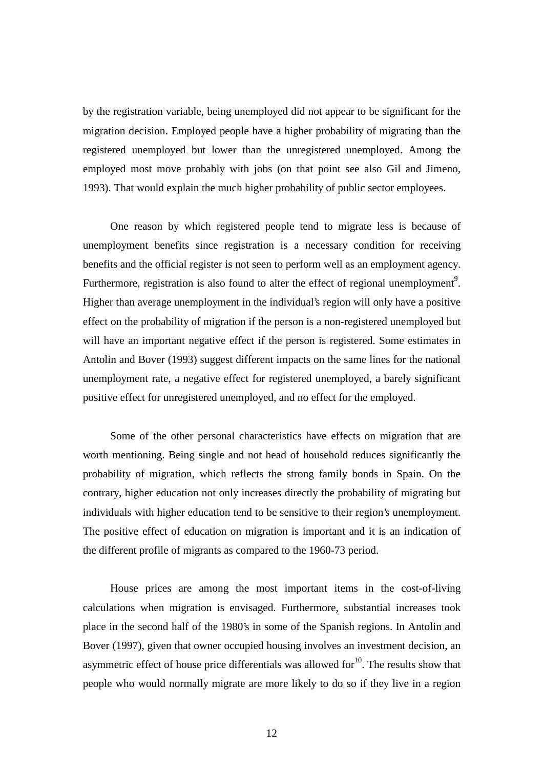by the registration variable, being unemployed did not appear to be significant for the migration decision. Employed people have a higher probability of migrating than the registered unemployed but lower than the unregistered unemployed. Among the employed most move probably with jobs (on that point see also Gil and Jimeno, 1993). That would explain the much higher probability of public sector employees.

 One reason by which registered people tend to migrate less is because of unemployment benefits since registration is a necessary condition for receiving benefits and the official register is not seen to perform well as an employment agency. Furthermore, registration is also found to alter the effect of regional unemployment<sup>9</sup>. Higher than average unemployment in the individual's region will only have a positive effect on the probability of migration if the person is a non-registered unemployed but will have an important negative effect if the person is registered. Some estimates in Antolin and Bover (1993) suggest different impacts on the same lines for the national unemployment rate, a negative effect for registered unemployed, a barely significant positive effect for unregistered unemployed, and no effect for the employed.

 Some of the other personal characteristics have effects on migration that are worth mentioning. Being single and not head of household reduces significantly the probability of migration, which reflects the strong family bonds in Spain. On the contrary, higher education not only increases directly the probability of migrating but individuals with higher education tend to be sensitive to their region's unemployment. The positive effect of education on migration is important and it is an indication of the different profile of migrants as compared to the 1960-73 period.

 House prices are among the most important items in the cost-of-living calculations when migration is envisaged. Furthermore, substantial increases took place in the second half of the 1980's in some of the Spanish regions. In Antolin and Bover (1997), given that owner occupied housing involves an investment decision, an asymmetric effect of house price differentials was allowed for  $10<sup>10</sup>$ . The results show that people who would normally migrate are more likely to do so if they live in a region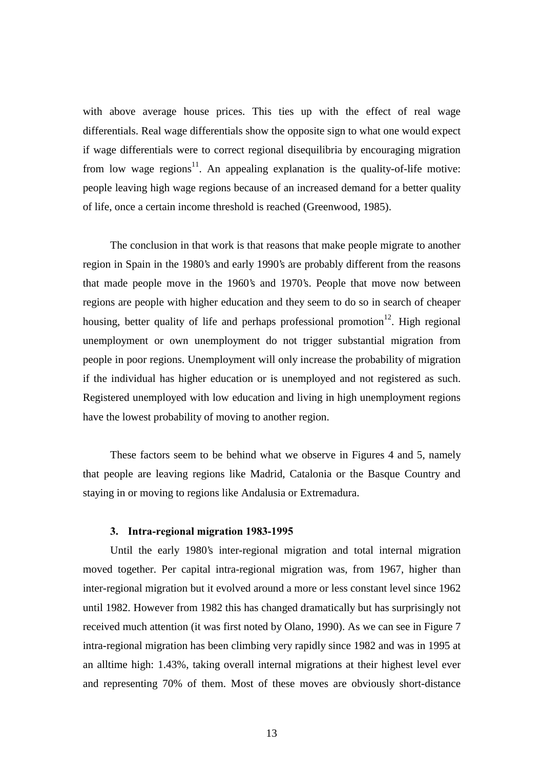with above average house prices. This ties up with the effect of real wage differentials. Real wage differentials show the opposite sign to what one would expect if wage differentials were to correct regional disequilibria by encouraging migration from low wage regions<sup>11</sup>. An appealing explanation is the quality-of-life motive: people leaving high wage regions because of an increased demand for a better quality of life, once a certain income threshold is reached (Greenwood, 1985).

 The conclusion in that work is that reasons that make people migrate to another region in Spain in the 1980's and early 1990's are probably different from the reasons that made people move in the 1960's and 1970's. People that move now between regions are people with higher education and they seem to do so in search of cheaper housing, better quality of life and perhaps professional promotion<sup>12</sup>. High regional unemployment or own unemployment do not trigger substantial migration from people in poor regions. Unemployment will only increase the probability of migration if the individual has higher education or is unemployed and not registered as such. Registered unemployed with low education and living in high unemployment regions have the lowest probability of moving to another region.

 These factors seem to be behind what we observe in Figures 4 and 5, namely that people are leaving regions like Madrid, Catalonia or the Basque Country and staying in or moving to regions like Andalusia or Extremadura.

### 3. Intra-regional migration 1983-1995

 Until the early 1980's inter-regional migration and total internal migration moved together. Per capital intra-regional migration was, from 1967, higher than inter-regional migration but it evolved around a more or less constant level since 1962 until 1982. However from 1982 this has changed dramatically but has surprisingly not received much attention (it was first noted by Olano, 1990). As we can see in Figure 7 intra-regional migration has been climbing very rapidly since 1982 and was in 1995 at an alltime high: 1.43%, taking overall internal migrations at their highest level ever and representing 70% of them. Most of these moves are obviously short-distance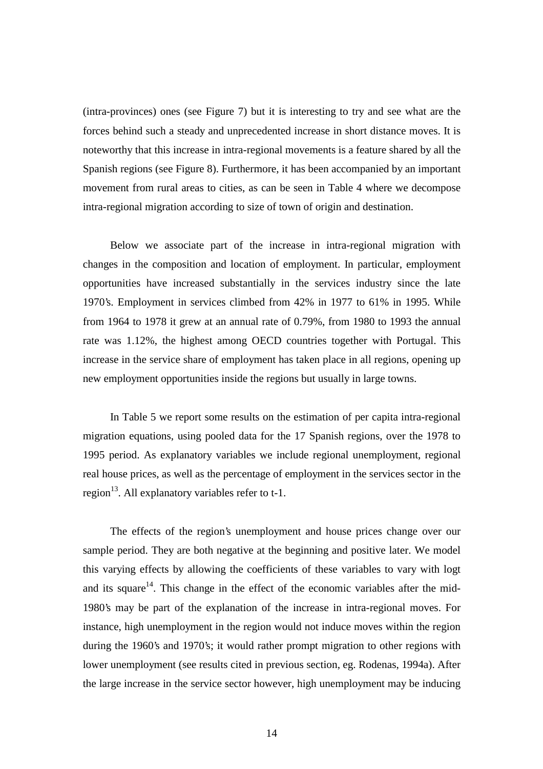(intra-provinces) ones (see Figure 7) but it is interesting to try and see what are the forces behind such a steady and unprecedented increase in short distance moves. It is noteworthy that this increase in intra-regional movements is a feature shared by all the Spanish regions (see Figure 8). Furthermore, it has been accompanied by an important movement from rural areas to cities, as can be seen in Table 4 where we decompose intra-regional migration according to size of town of origin and destination.

 Below we associate part of the increase in intra-regional migration with changes in the composition and location of employment. In particular, employment opportunities have increased substantially in the services industry since the late 1970's. Employment in services climbed from 42% in 1977 to 61% in 1995. While from 1964 to 1978 it grew at an annual rate of 0.79%, from 1980 to 1993 the annual rate was 1.12%, the highest among OECD countries together with Portugal. This increase in the service share of employment has taken place in all regions, opening up new employment opportunities inside the regions but usually in large towns.

 In Table 5 we report some results on the estimation of per capita intra-regional migration equations, using pooled data for the 17 Spanish regions, over the 1978 to 1995 period. As explanatory variables we include regional unemployment, regional real house prices, as well as the percentage of employment in the services sector in the region<sup>13</sup>. All explanatory variables refer to  $t-1$ .

 The effects of the region's unemployment and house prices change over our sample period. They are both negative at the beginning and positive later. We model this varying effects by allowing the coefficients of these variables to vary with logt and its square<sup>14</sup>. This change in the effect of the economic variables after the mid-1980's may be part of the explanation of the increase in intra-regional moves. For instance, high unemployment in the region would not induce moves within the region during the 1960's and 1970's; it would rather prompt migration to other regions with lower unemployment (see results cited in previous section, eg. Rodenas, 1994a). After the large increase in the service sector however, high unemployment may be inducing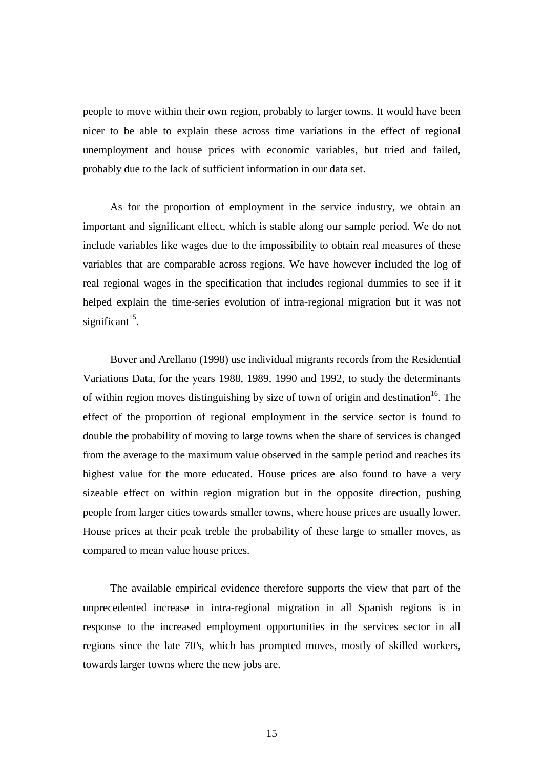people to move within their own region, probably to larger towns. It would have been nicer to be able to explain these across time variations in the effect of regional unemployment and house prices with economic variables, but tried and failed, probably due to the lack of sufficient information in our data set.

 As for the proportion of employment in the service industry, we obtain an important and significant effect, which is stable along our sample period. We do not include variables like wages due to the impossibility to obtain real measures of these variables that are comparable across regions. We have however included the log of real regional wages in the specification that includes regional dummies to see if it helped explain the time-series evolution of intra-regional migration but it was not significant $15$ .

 Bover and Arellano (1998) use individual migrants records from the Residential Variations Data, for the years 1988, 1989, 1990 and 1992, to study the determinants of within region moves distinguishing by size of town of origin and destination<sup>16</sup>. The effect of the proportion of regional employment in the service sector is found to double the probability of moving to large towns when the share of services is changed from the average to the maximum value observed in the sample period and reaches its highest value for the more educated. House prices are also found to have a very sizeable effect on within region migration but in the opposite direction, pushing people from larger cities towards smaller towns, where house prices are usually lower. House prices at their peak treble the probability of these large to smaller moves, as compared to mean value house prices.

 The available empirical evidence therefore supports the view that part of the unprecedented increase in intra-regional migration in all Spanish regions is in response to the increased employment opportunities in the services sector in all regions since the late 70's, which has prompted moves, mostly of skilled workers, towards larger towns where the new jobs are.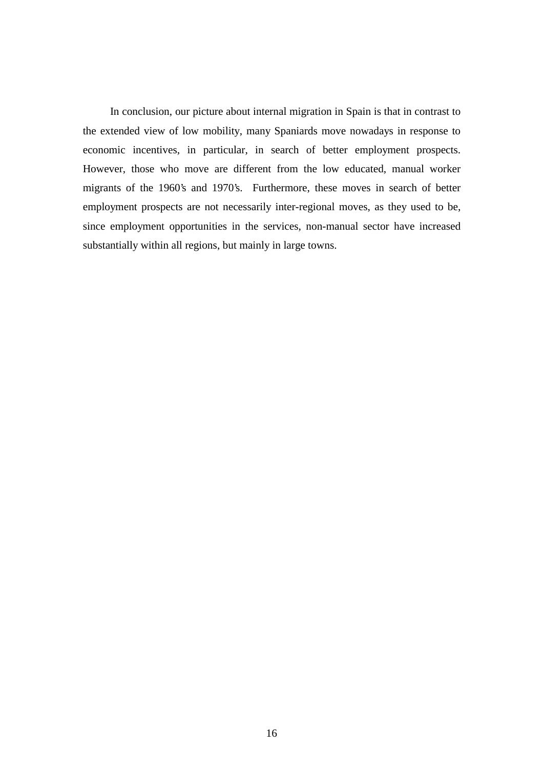In conclusion, our picture about internal migration in Spain is that in contrast to the extended view of low mobility, many Spaniards move nowadays in response to economic incentives, in particular, in search of better employment prospects. However, those who move are different from the low educated, manual worker migrants of the 1960's and 1970's. Furthermore, these moves in search of better employment prospects are not necessarily inter-regional moves, as they used to be, since employment opportunities in the services, non-manual sector have increased substantially within all regions, but mainly in large towns.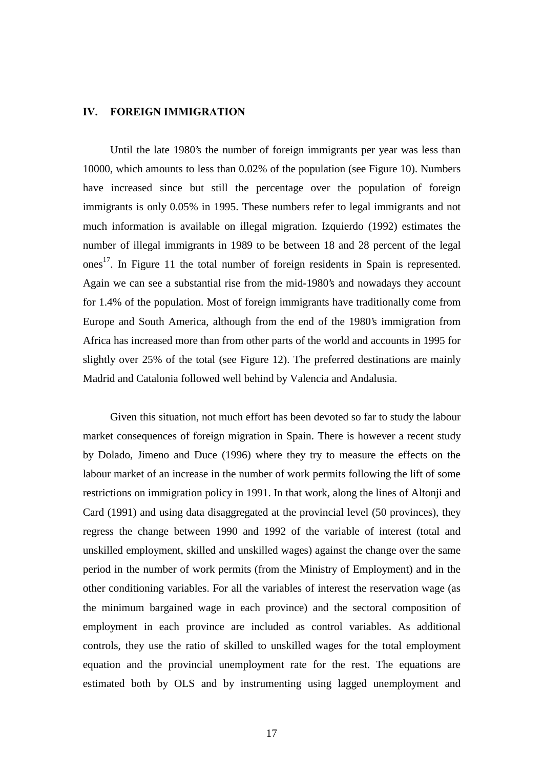#### $\mathbf{IV}$ . **FOREIGN IMMIGRATION**

 Until the late 1980's the number of foreign immigrants per year was less than 10000, which amounts to less than 0.02% of the population (see Figure 10). Numbers have increased since but still the percentage over the population of foreign immigrants is only 0.05% in 1995. These numbers refer to legal immigrants and not much information is available on illegal migration. Izquierdo (1992) estimates the number of illegal immigrants in 1989 to be between 18 and 28 percent of the legal ones<sup>17</sup>. In Figure 11 the total number of foreign residents in Spain is represented. Again we can see a substantial rise from the mid-1980's and nowadays they account for 1.4% of the population. Most of foreign immigrants have traditionally come from Europe and South America, although from the end of the 1980's immigration from Africa has increased more than from other parts of the world and accounts in 1995 for slightly over 25% of the total (see Figure 12). The preferred destinations are mainly Madrid and Catalonia followed well behind by Valencia and Andalusia.

 Given this situation, not much effort has been devoted so far to study the labour market consequences of foreign migration in Spain. There is however a recent study by Dolado, Jimeno and Duce (1996) where they try to measure the effects on the labour market of an increase in the number of work permits following the lift of some restrictions on immigration policy in 1991. In that work, along the lines of Altonji and Card (1991) and using data disaggregated at the provincial level (50 provinces), they regress the change between 1990 and 1992 of the variable of interest (total and unskilled employment, skilled and unskilled wages) against the change over the same period in the number of work permits (from the Ministry of Employment) and in the other conditioning variables. For all the variables of interest the reservation wage (as the minimum bargained wage in each province) and the sectoral composition of employment in each province are included as control variables. As additional controls, they use the ratio of skilled to unskilled wages for the total employment equation and the provincial unemployment rate for the rest. The equations are estimated both by OLS and by instrumenting using lagged unemployment and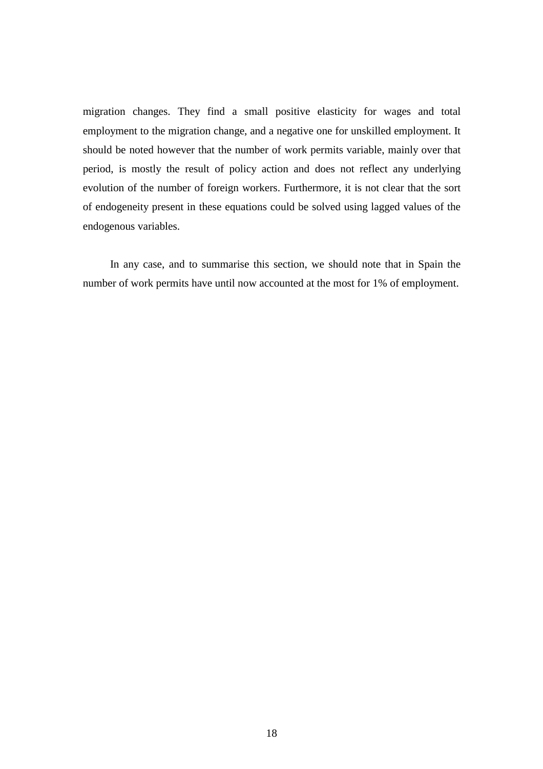migration changes. They find a small positive elasticity for wages and total employment to the migration change, and a negative one for unskilled employment. It should be noted however that the number of work permits variable, mainly over that period, is mostly the result of policy action and does not reflect any underlying evolution of the number of foreign workers. Furthermore, it is not clear that the sort of endogeneity present in these equations could be solved using lagged values of the endogenous variables.

 In any case, and to summarise this section, we should note that in Spain the number of work permits have until now accounted at the most for 1% of employment.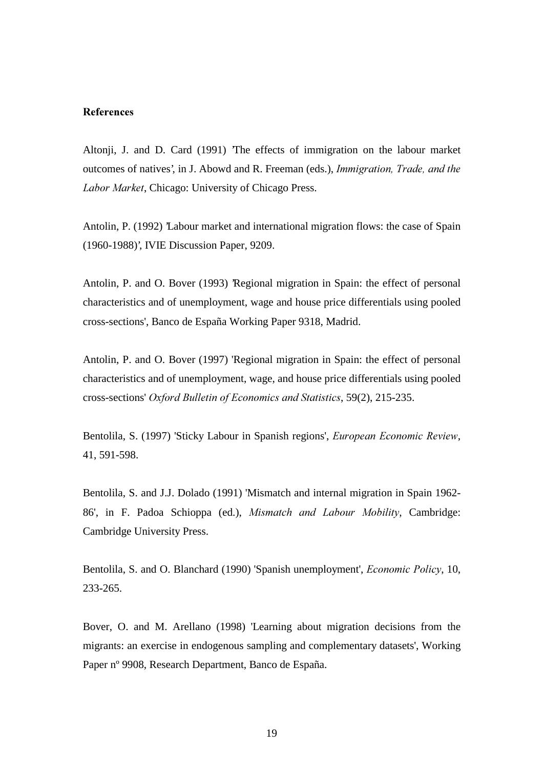### **References**

Altonji, J. and D. Card (1991) 'The effects of immigration on the labour market outcomes of natives', in J. Abowd and R. Freeman (eds.), Immigration, Trade, and the Labor Market, Chicago: University of Chicago Press.

Antolin, P. (1992) Labour market and international migration flows: the case of Spain (1960-1988)', IVIE Discussion Paper, 9209.

Antolin, P. and O. Bover (1993) 'Regional migration in Spain: the effect of personal characteristics and of unemployment, wage and house price differentials using pooled cross-sections', Banco de España Working Paper 9318, Madrid.

Antolin, P. and O. Bover (1997) 'Regional migration in Spain: the effect of personal characteristics and of unemployment, wage, and house price differentials using pooled cross-sections' Oxford Bulletin of Economics and Statistics, 59(2), 215-235.

Bentolila, S. (1997) 'Sticky Labour in Spanish regions', European Economic Review, 41, 591-598.

Bentolila, S. and J.J. Dolado (1991) 'Mismatch and internal migration in Spain 1962- 86', in F. Padoa Schioppa (ed.), Mismatch and Labour Mobility, Cambridge: Cambridge University Press.

Bentolila, S. and O. Blanchard (1990) 'Spanish unemployment', *Economic Policy*, 10, 233-265.

Bover, O. and M. Arellano (1998) 'Learning about migration decisions from the migrants: an exercise in endogenous sampling and complementary datasets', Working Paper nº 9908, Research Department, Banco de España.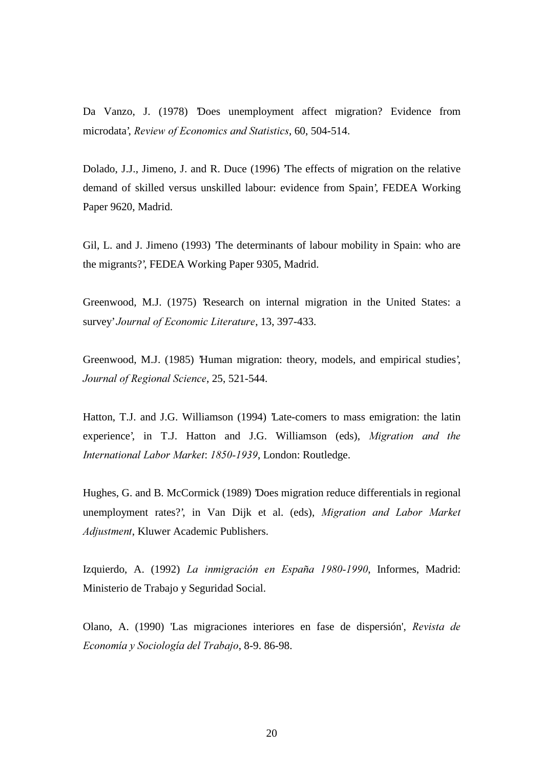Da Vanzo, J. (1978) 'Does unemployment affect migration? Evidence from microdata', Review of Economics and Statistics, 60, 504-514.

Dolado, J.J., Jimeno, J. and R. Duce (1996) 'The effects of migration on the relative demand of skilled versus unskilled labour: evidence from Spain', FEDEA Working Paper 9620, Madrid.

Gil, L. and J. Jimeno (1993) 'The determinants of labour mobility in Spain: who are the migrants?', FEDEA Working Paper 9305, Madrid.

Greenwood, M.J. (1975) 'Research on internal migration in the United States: a survey' Journal of Economic Literature, 13, 397-433.

Greenwood, M.J. (1985) 'Human migration: theory, models, and empirical studies', Journal of Regional Science, 25, 521-544.

Hatton, T.J. and J.G. Williamson (1994) Late-comers to mass emigration: the latin experience', in T.J. Hatton and J.G. Williamson (eds), Migration and the International Labor Market: 1850-1939, London: Routledge.

Hughes, G. and B. McCormick (1989) 'Does migration reduce differentials in regional unemployment rates?', in Van Dijk et al. (eds), Migration and Labor Market Adjustment, Kluwer Academic Publishers.

Izquierdo, A. (1992) La inmigración en España 1980-1990, Informes, Madrid: Ministerio de Trabajo y Seguridad Social.

Olano, A. (1990) 'Las migraciones interiores en fase de dispersión', Revista de Economía y Sociología del Trabajo, 8-9. 86-98.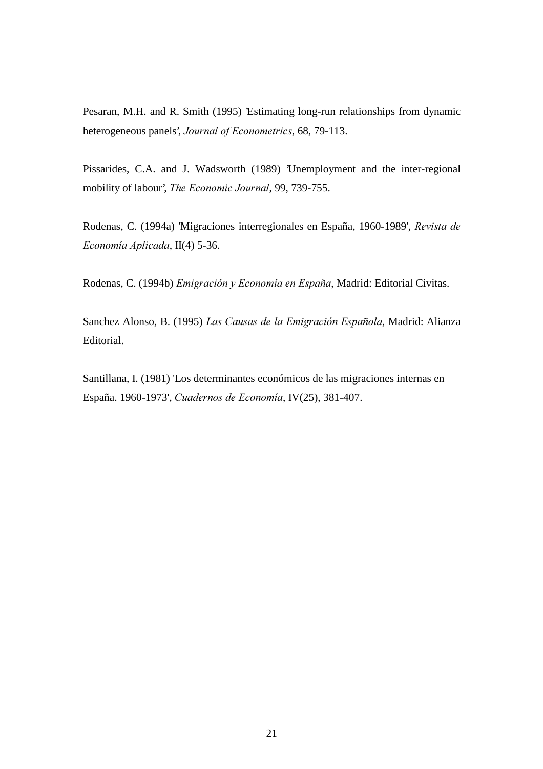Pesaran, M.H. and R. Smith (1995) 'Estimating long-run relationships from dynamic heterogeneous panels', Journal of Econometrics, 68, 79-113.

Pissarides, C.A. and J. Wadsworth (1989) 'Unemployment and the inter-regional mobility of labour', The Economic Journal, 99, 739-755.

Rodenas, C. (1994a) 'Migraciones interregionales en España, 1960-1989', Revista de Economía Aplicada, II(4) 5-36.

Rodenas, C. (1994b) Emigración y Economía en España, Madrid: Editorial Civitas.

Sanchez Alonso, B. (1995) Las Causas de la Emigración Española, Madrid: Alianza Editorial.

Santillana, I. (1981) 'Los determinantes económicos de las migraciones internas en España. 1960-1973', Cuadernos de Economía, IV(25), 381-407.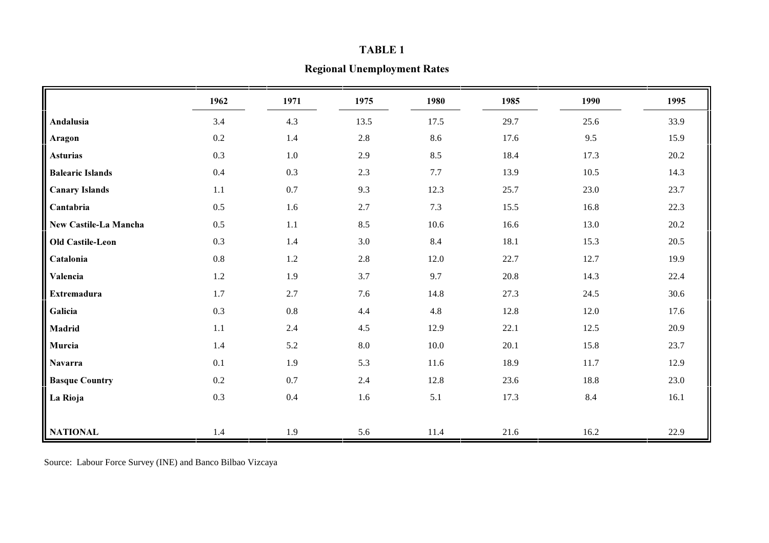#### TABLE 1

# **Regional Unemployment Rates**

|                         | 1962    | 1971    | 1975 | 1980     | 1985     | 1990 | 1995 |
|-------------------------|---------|---------|------|----------|----------|------|------|
| Andalusia               | 3.4     | 4.3     | 13.5 | 17.5     | 29.7     | 25.6 | 33.9 |
| Aragon                  | $0.2\,$ | $1.4\,$ | 2.8  | 8.6      | 17.6     | 9.5  | 15.9 |
| <b>Asturias</b>         | 0.3     | $1.0\,$ | 2.9  | 8.5      | 18.4     | 17.3 | 20.2 |
| <b>Balearic Islands</b> | $0.4\,$ | 0.3     | 2.3  | 7.7      | 13.9     | 10.5 | 14.3 |
| <b>Canary Islands</b>   | 1.1     | 0.7     | 9.3  | 12.3     | 25.7     | 23.0 | 23.7 |
| Cantabria               | 0.5     | $1.6\,$ | 2.7  | 7.3      | 15.5     | 16.8 | 22.3 |
| New Castile-La Mancha   | 0.5     | 1.1     | 8.5  | $10.6\,$ | 16.6     | 13.0 | 20.2 |
| <b>Old Castile-Leon</b> | 0.3     | 1.4     | 3.0  | 8.4      | 18.1     | 15.3 | 20.5 |
| Catalonia               | $0.8\,$ | 1.2     | 2.8  | $12.0\,$ | 22.7     | 12.7 | 19.9 |
| Valencia                | $1.2\,$ | 1.9     | 3.7  | 9.7      | $20.8\,$ | 14.3 | 22.4 |
| <b>Extremadura</b>      | $1.7\,$ | 2.7     | 7.6  | 14.8     | 27.3     | 24.5 | 30.6 |
| Galicia                 | 0.3     | 0.8     | 4.4  | 4.8      | 12.8     | 12.0 | 17.6 |
| Madrid                  | 1.1     | 2.4     | 4.5  | 12.9     | 22.1     | 12.5 | 20.9 |
| Murcia                  | 1.4     | 5.2     | 8.0  | $10.0\,$ | 20.1     | 15.8 | 23.7 |
| <b>Navarra</b>          | 0.1     | 1.9     | 5.3  | 11.6     | 18.9     | 11.7 | 12.9 |
| <b>Basque Country</b>   | 0.2     | 0.7     | 2.4  | 12.8     | 23.6     | 18.8 | 23.0 |
| La Rioja                | 0.3     | 0.4     | 1.6  | 5.1      | 17.3     | 8.4  | 16.1 |
|                         |         |         |      |          |          |      |      |
| <b>NATIONAL</b>         | 1.4     | 1.9     | 5.6  | 11.4     | 21.6     | 16.2 | 22.9 |

Source: Labour Force Survey (INE) and Banco Bilbao Vizcaya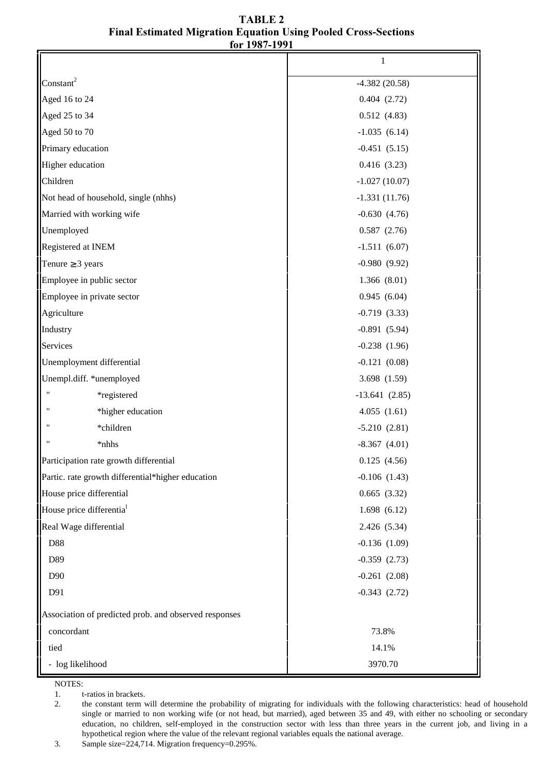| TABLE 2                                                               |
|-----------------------------------------------------------------------|
| <b>Final Estimated Migration Equation Using Pooled Cross-Sections</b> |
| for 1987-1991                                                         |

|                                                       | 1                 |  |
|-------------------------------------------------------|-------------------|--|
| Constant <sup>2</sup>                                 | $-4.382(20.58)$   |  |
| Aged 16 to 24                                         | 0.404(2.72)       |  |
| Aged 25 to 34                                         | 0.512(4.83)       |  |
| Aged 50 to 70                                         | $-1.035(6.14)$    |  |
| Primary education                                     | $-0.451(5.15)$    |  |
| Higher education                                      | 0.416(3.23)       |  |
| Children                                              | $-1.027(10.07)$   |  |
| Not head of household, single (nhhs)                  | $-1.331(11.76)$   |  |
| Married with working wife                             | $-0.630(4.76)$    |  |
| Unemployed                                            | 0.587(2.76)       |  |
| Registered at INEM                                    | $-1.511(6.07)$    |  |
| Tenure $\geq 3$ years                                 | $-0.980(9.92)$    |  |
| Employee in public sector                             | 1.366(8.01)       |  |
| Employee in private sector                            | 0.945(6.04)       |  |
| Agriculture                                           | $-0.719(3.33)$    |  |
| Industry                                              | $-0.891(5.94)$    |  |
| Services                                              | $-0.238(1.96)$    |  |
| Unemployment differential                             | $-0.121(0.08)$    |  |
| Unempl.diff. *unemployed                              | 3.698 (1.59)      |  |
| *registered                                           | $-13.641(2.85)$   |  |
| *higher education                                     | 4.055(1.61)       |  |
| *children                                             | $-5.210(2.81)$    |  |
| *nhhs                                                 | $-8.367(4.01)$    |  |
| Participation rate growth differential                | 0.125(4.56)       |  |
| Partic. rate growth differential*higher education     | $-0.106$ $(1.43)$ |  |
| House price differential                              | 0.665(3.32)       |  |
| House price differentia <sup>1</sup>                  | 1.698(6.12)       |  |
| Real Wage differential                                | 2.426 (5.34)      |  |
| D88                                                   | $-0.136(1.09)$    |  |
| D89                                                   | $-0.359(2.73)$    |  |
| D90                                                   | $-0.261(2.08)$    |  |
| D91                                                   | $-0.343(2.72)$    |  |
| Association of predicted prob. and observed responses |                   |  |
| concordant                                            | 73.8%             |  |
| tied                                                  | 14.1%             |  |
| - log likelihood                                      | 3970.70           |  |

NOTES:

3. Sample size=224,714. Migration frequency=0.295%.

<sup>1.</sup> t-ratios in brackets.<br>2. the constant term v 2. the constant term will determine the probability of migrating for individuals with the following characteristics: head of household single or married to non working wife (or not head, but married), aged between 35 and 49, with either no schooling or secondary education, no children, self-employed in the construction sector with less than three years in the current job, and living in a hypothetical region where the value of the relevant regional variables equals the national average.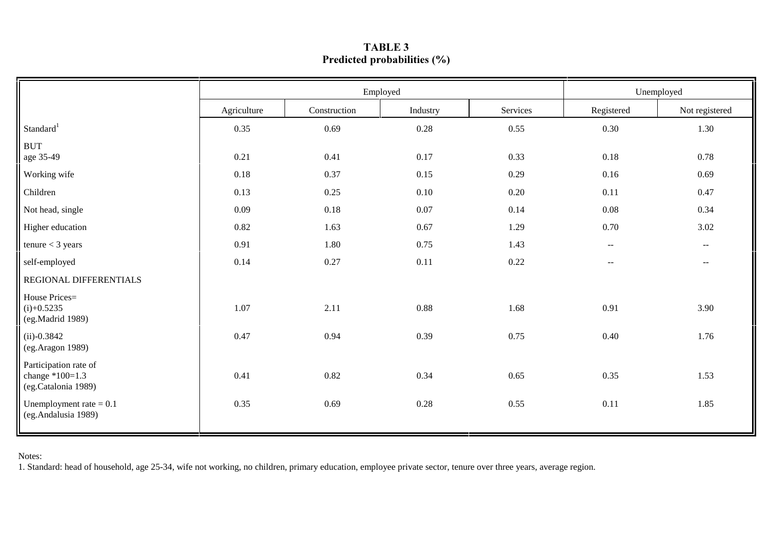|                                                                   | Employed    |              |          |          | Unemployed                                    |                                               |
|-------------------------------------------------------------------|-------------|--------------|----------|----------|-----------------------------------------------|-----------------------------------------------|
|                                                                   | Agriculture | Construction | Industry | Services | Registered                                    | Not registered                                |
| Standard <sup>1</sup>                                             | 0.35        | 0.69         | $0.28\,$ | 0.55     | $0.30\,$                                      | 1.30                                          |
| <b>BUT</b><br>age 35-49                                           | 0.21        | 0.41         | 0.17     | 0.33     | 0.18                                          | 0.78                                          |
| Working wife                                                      | 0.18        | 0.37         | 0.15     | 0.29     | 0.16                                          | 0.69                                          |
| Children                                                          | 0.13        | 0.25         | 0.10     | 0.20     | 0.11                                          | 0.47                                          |
| Not head, single                                                  | 0.09        | 0.18         | 0.07     | 0.14     | 0.08                                          | 0.34                                          |
| Higher education                                                  | 0.82        | 1.63         | 0.67     | 1.29     | 0.70                                          | 3.02                                          |
| tenure $<$ 3 years                                                | 0.91        | 1.80         | 0.75     | 1.43     | $\mathord{\hspace{1pt}\text{--}\hspace{1pt}}$ | $\mathord{\hspace{1pt}\text{--}\hspace{1pt}}$ |
| self-employed                                                     | 0.14        | 0.27         | 0.11     | 0.22     | $--$                                          | $--$                                          |
| REGIONAL DIFFERENTIALS                                            |             |              |          |          |                                               |                                               |
| House Prices=<br>$(i)+0.5235$<br>(eg.Madrid 1989)                 | 1.07        | 2.11         | 0.88     | 1.68     | 0.91                                          | 3.90                                          |
| $(ii)-0.3842$<br>(eg.Aragon 1989)                                 | 0.47        | 0.94         | 0.39     | 0.75     | 0.40                                          | 1.76                                          |
| Participation rate of<br>change $*100=1.3$<br>(eg.Catalonia 1989) | 0.41        | 0.82         | 0.34     | 0.65     | 0.35                                          | 1.53                                          |
| Unemployment rate $= 0.1$<br>(eg.Andalusia 1989)                  | 0.35        | 0.69         | 0.28     | 0.55     | 0.11                                          | 1.85                                          |

## $\sqrt{1 + \text{Table 3}}$ Predicted probabilities (%)

Notes:

1. Standard: head of household, age 25-34, wife not working, no children, primary education, employee private sector, tenure over three years, average region.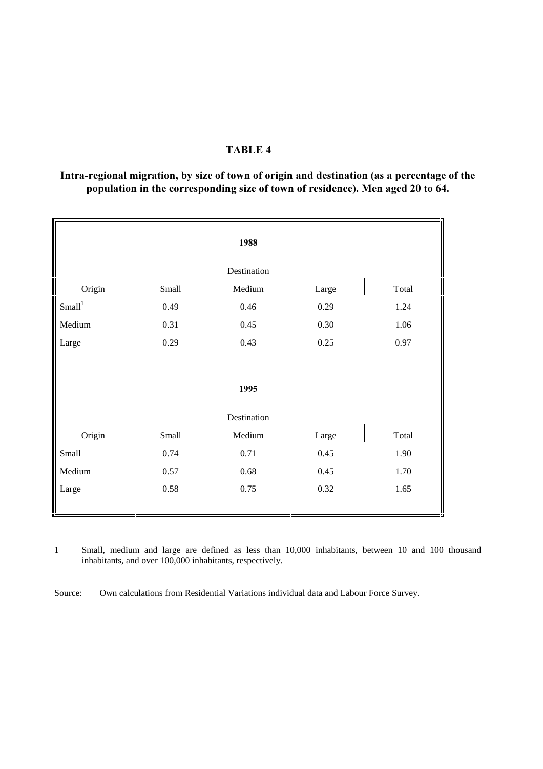## TABLE 4

## Intra-regional migration, by size of town of origin and destination (as a percentage of the population in the corresponding size of town of residence). Men aged 20 to 64.

| 1988             |             |        |       |       |  |  |  |
|------------------|-------------|--------|-------|-------|--|--|--|
|                  | Destination |        |       |       |  |  |  |
| Origin           | Small       | Medium | Large | Total |  |  |  |
| $\mbox{Small}^1$ | 0.49        | 0.46   | 0.29  | 1.24  |  |  |  |
| Medium           | 0.31        | 0.45   | 0.30  | 1.06  |  |  |  |
| Large            | 0.29        | 0.43   | 0.25  | 0.97  |  |  |  |
|                  |             |        |       |       |  |  |  |
| 1995             |             |        |       |       |  |  |  |
| Destination      |             |        |       |       |  |  |  |
| Origin           | Small       | Medium | Large | Total |  |  |  |
| Small            | 0.74        | 0.71   | 0.45  | 1.90  |  |  |  |
| Medium           | 0.57        | 0.68   | 0.45  | 1.70  |  |  |  |
| Large            | 0.58        | 0.75   | 0.32  | 1.65  |  |  |  |
|                  |             |        |       |       |  |  |  |

1 Small, medium and large are defined as less than 10,000 inhabitants, between 10 and 100 thousand inhabitants, and over 100,000 inhabitants, respectively.

Source: Own calculations from Residential Variations individual data and Labour Force Survey.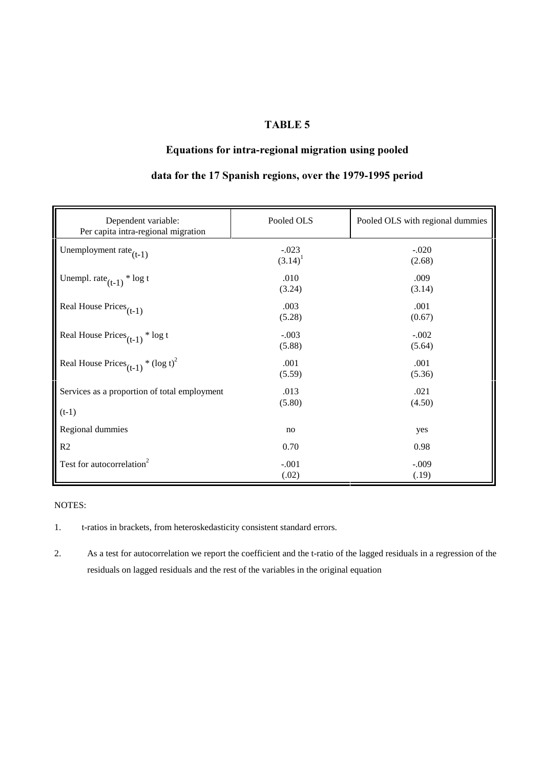### **TABLE 5**

# Equations for intra-regional migration using pooled

| Dependent variable:<br>Per capita intra-regional migration | Pooled OLS            | Pooled OLS with regional dummies |
|------------------------------------------------------------|-----------------------|----------------------------------|
| Unemployment rate $(t-1)$                                  | $-.023$<br>$(3.14)^1$ | $-.020$<br>(2.68)                |
| Unempl. rate $(t-1)$ <sup>*</sup> log t                    | .010<br>(3.24)        | .009<br>(3.14)                   |
| Real House $\text{Prices}_{(t-1)}$                         | .003<br>(5.28)        | .001<br>(0.67)                   |
| Real House $\text{Prices}_{(t-1)} * \log t$                | $-.003$<br>(5.88)     | $-.002$<br>(5.64)                |
| Real House Prices <sub>(t-1)</sub> * $(\log t)^2$          | .001<br>(5.59)        | .001<br>(5.36)                   |
| Services as a proportion of total employment<br>$(t-1)$    | .013<br>(5.80)        | .021<br>(4.50)                   |
| Regional dummies                                           | no                    | yes                              |
| R2                                                         | 0.70                  | 0.98                             |
| Test for autocorrelation <sup>2</sup>                      | $-.001$<br>(.02)      | $-.009$<br>(.19)                 |

## data for the 17 Spanish regions, over the 1979-1995 period

#### NOTES:

1. t-ratios in brackets, from heteroskedasticity consistent standard errors.

2. As a test for autocorrelation we report the coefficient and the t-ratio of the lagged residuals in a regression of the residuals on lagged residuals and the rest of the variables in the original equation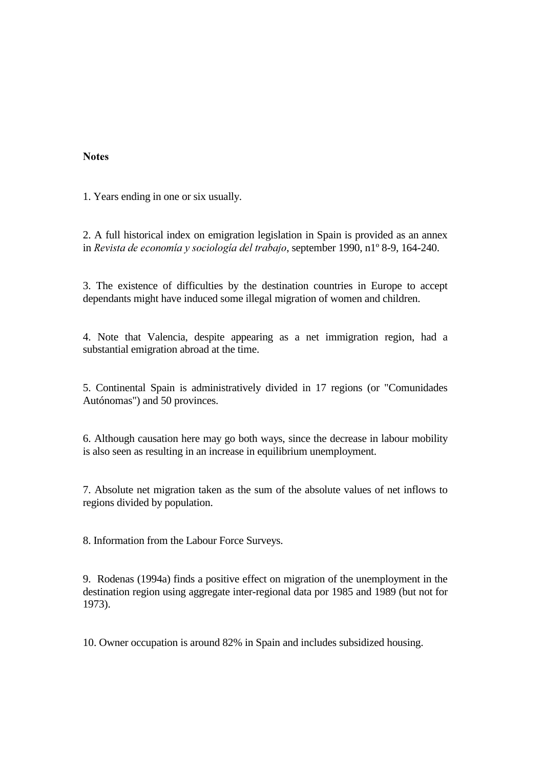### **Notes**

1. Years ending in one or six usually.

2. A full historical index on emigration legislation in Spain is provided as an annex in Revista de economía y sociología del trabajo, september 1990, n1º 8-9, 164-240.

3. The existence of difficulties by the destination countries in Europe to accept dependants might have induced some illegal migration of women and children.

4. Note that Valencia, despite appearing as a net immigration region, had a substantial emigration abroad at the time.

5. Continental Spain is administratively divided in 17 regions (or "Comunidades Autónomas") and 50 provinces.

6. Although causation here may go both ways, since the decrease in labour mobility is also seen as resulting in an increase in equilibrium unemployment.

7. Absolute net migration taken as the sum of the absolute values of net inflows to regions divided by population.

8. Information from the Labour Force Surveys.

9. Rodenas (1994a) finds a positive effect on migration of the unemployment in the destination region using aggregate inter-regional data por 1985 and 1989 (but not for 1973).

10. Owner occupation is around 82% in Spain and includes subsidized housing.